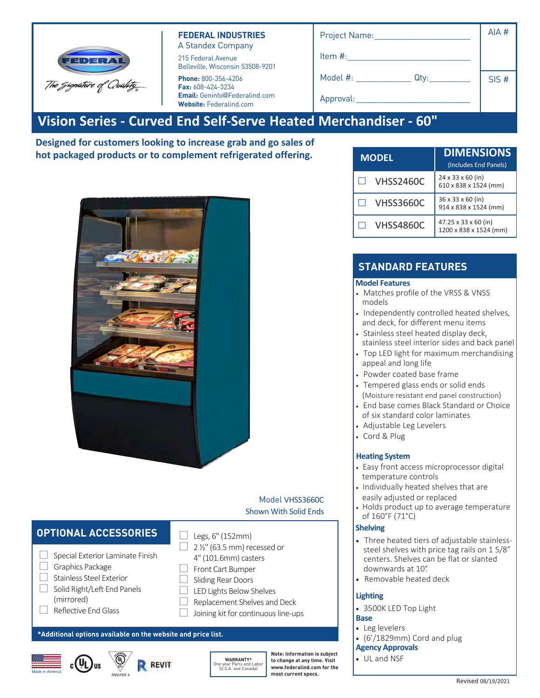| FEDERAL                  |
|--------------------------|
| The Signature of Quahty_ |

#### **FEDERAL INDUSTRIES** A Standex Company

215 Federal Avenue Belleville, Wisconsin 53508-9201

**Phone:** 800-356-4206 **Fax:** 608-424-3234 **Email:** Geninfo@Federalind.com **Website:** Federalind.com

| Project Name:              | AIA # |
|----------------------------|-------|
| Item #:                    |       |
| Model #: _________<br>Qty: | SIS#  |
| Approval:                  |       |
|                            |       |

# **Vision Series - Curved End Self-Serve Heated Merchandiser - 60"**

**Designed for customers looking to increase grab and go sales of hot packaged products or to complement refrigerated offering.**

| <b>MODEL</b>     | <b>DIMENSIONS</b><br>(Includes End Panels)             |
|------------------|--------------------------------------------------------|
| <b>VHSS2460C</b> | $24 \times 33 \times 60$ (in)<br>610 x 838 x 1524 (mm) |
| VHSS3660C        | 36 x 33 x 60 (in)<br>914 x 838 x 1524 (mm)             |
| VHSS4860C        | 47.25 x 33 x 60 (in)<br>1200 x 838 x 1524 (mm)         |

# **STANDARD FEATURES**

#### **Model Features**

- Matches profile of the VRSS & VNSS models
- Independently controlled heated shelves, and deck, for different menu items
- Stainless steel heated display deck, stainless steel interior sides and back panel
- Top LED light for maximum merchandising appeal and long life
- Powder coated base frame
- Tempered glass ends or solid ends
- (Moisture resistant end panel construction)
- End base comes Black Standard or Choice of six standard color laminates
- Adjustable Leg Levelers
- Cord & Plug

### **Heating System**

- Easy front access microprocessor digital temperature controls
- Individually heated shelves that are easily adjusted or replaced
- Holds product up to average temperature of 160°F (71°C)

#### **Shelving**

- Three heated tiers of adjustable stainlesssteel shelves with price tag rails on 1 5/8" centers. Shelves can be flat or slanted downwards at 10°.
- Removable heated deck

# **Lighting**

• 3500K LED Top Light

## **Base**

- Leg levelers
- (6'/1829mm) Cord and plug

# **Agency Approvals**

• UL and NSF

# **OPTIONAL ACCESSORIES**  $\Box$  Legs, 6" (152mm)

- $\Box$  Special Exterior Laminate Finish
- □ Graphics Package
- □ Stainless Steel Exterior
- $\Box$  Solid Right/Left End Panels (mirrored)
- □ Reflective End Glass
- **\*Additional options available on the website and price list.**





**WARRANTY\*** One year Parts and Labor (U.S.A. and Canada)

Replacement Shelves and Deck Joining kit for continuous line-ups

 $\Box$  2  $\frac{1}{2}$ " (63.5 mm) recessed or 4" (101.6mm) casters □ Front Cart Bumper  $\Box$  Sliding Rear Doors □ LED Lights Below Shelves

> **Note: Information is subject to change at any time. Visit www.federalind.com for the most current specs.**

Model VHSS3660C

Shown With Solid Ends